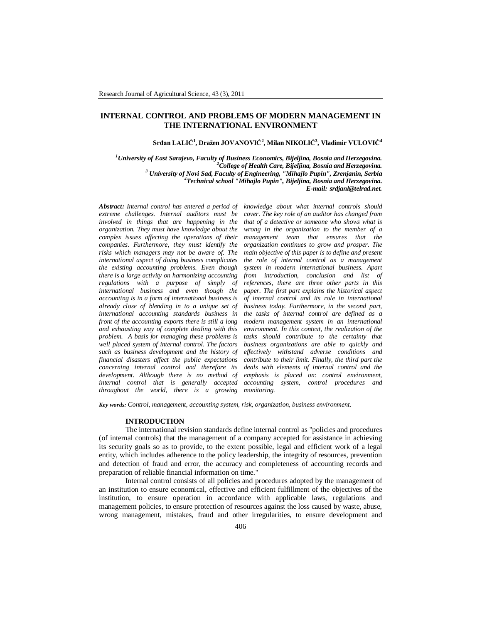# **INTERNAL CONTROL AND PROBLEMS OF MODERN MANAGEMENT IN THE INTERNATIONAL ENVIRONMENT**

## **Srđan LALIĆ<sup>1</sup> , Dražen JOVANOVIĆ<sup>2</sup> , Milan NIKOLIĆ<sup>3</sup> , Vladimir VULOVIĆ<sup>4</sup>**

*University of East Sarajevo, Faculty of Business Economics, Bijeljina, Bosnia and Herzegovina. College of Health Care, Bijeljina, Bosnia and Herzegovina. University of Novi Sad, Faculty of Engineering, "Mihajlo Pupin", Zrenjanin, Serbia Technical school "Mihajlo Pupin", Bijeljina, Bosnia and Herzegovina. E-mail: srdjanl@telrad.net.*

*Abstract: Internal control has entered a period of extreme challenges. Internal auditors must be involved in things that are happening in the organization. They must have knowledge about the complex issues affecting the operations of their companies. Furthermore, they must identify the risks which managers may not be aware of. The international aspect of doing business complicates the existing accounting problems. Even though there is a large activity on harmonizing accounting regulations with a purpose of simply of international business and even though the accounting is in a form of international business is already close of blending in to a unique set of international accounting standards business in front of the accounting exports there is still a long and exhausting way of complete dealing with this problem. A basis for managing these problems is well placed system of internal control. The factors such as business development and the history of financial disasters affect the public expectations concerning internal control and therefore its development. Although there is no method of internal control that is generally accepted throughout the world, there is a growing*

*knowledge about what internal controls should cover. The key role of an auditor has changed from that of a detective or someone who shows what is wrong in the organization to the member of a management team that ensures that the organization continues to grow and prosper. The main objective of this paper is to define and present the role of internal control as a management system in modern international business. Apart from introduction, conclusion and list of references, there are three other parts in this paper. The first part explains the historical aspect of internal control and its role in international business today. Furthermore, in the second part, the tasks of internal control are defined as a modern management system in an international environment. In this context, the realization of the tasks should contribute to the certainty that business organizations are able to quickly and effectively withstand adverse conditions and contribute to their limit. Finally, the third part the deals with elements of internal control and the emphasis is placed on: control environment, accounting system, control procedures and monitoring.*

*Key words: Control, management, accounting system, risk, organization, business environment.*

#### **INTRODUCTION**

The international revision standards define internal control as "policies and procedures (of internal controls) that the management of a company accepted for assistance in achieving its security goals so as to provide, to the extent possible, legal and efficient work of a legal entity, which includes adherence to the policy leadership, the integrity of resources, prevention and detection of fraud and error, the accuracy and completeness of accounting records and preparation of reliable financial information on time."

Internal control consists of all policies and procedures adopted by the management of an institution to ensure economical, effective and efficient fulfillment of the objectives of the institution, to ensure operation in accordance with applicable laws, regulations and management policies, to ensure protection of resources against the loss caused by waste, abuse, wrong management, mistakes, fraud and other irregularities, to ensure development and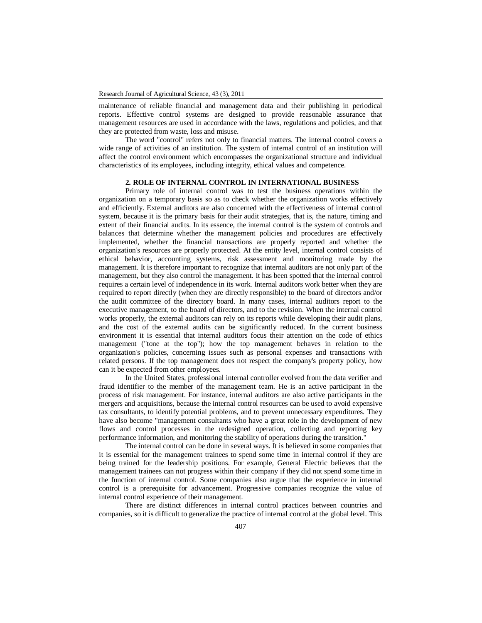maintenance of reliable financial and management data and their publishing in periodical reports. Effective control systems are designed to provide reasonable assurance that management resources are used in accordance with the laws, regulations and policies, and that they are protected from waste, loss and misuse.

The word "control" refers not only to financial matters. The internal control covers a wide range of activities of an institution. The system of internal control of an institution will affect the control environment which encompasses the organizational structure and individual characteristics of its employees, including integrity, ethical values and competence.

# **2. ROLE OF INTERNAL CONTROL IN INTERNATIONAL BUSINESS**

Primary role of internal control was to test the business operations within the organization on a temporary basis so as to check whether the organization works effectively and efficiently. External auditors are also concerned with the effectiveness of internal control system, because it is the primary basis for their audit strategies, that is, the nature, timing and extent of their financial audits. In its essence, the internal control is the system of controls and balances that determine whether the management policies and procedures are effectively implemented, whether the financial transactions are properly reported and whether the organization's resources are properly protected. At the entity level, internal control consists of ethical behavior, accounting systems, risk assessment and monitoring made by the management. It is therefore important to recognize that internal auditors are not only part of the management, but they also control the management. It has been spotted that the internal control requires a certain level of independence in its work. Internal auditors work better when they are required to report directly (when they are directly responsible) to the board of directors and/or the audit committee of the directory board. In many cases, internal auditors report to the executive management, to the board of directors, and to the revision. When the internal control works properly, the external auditors can rely on its reports while developing their audit plans, and the cost of the external audits can be significantly reduced. In the current business environment it is essential that internal auditors focus their attention on the code of ethics management ("tone at the top"); how the top management behaves in relation to the organization's policies, concerning issues such as personal expenses and transactions with related persons. If the top management does not respect the company's property policy, how can it be expected from other employees.

In the United States, professional internal controller evolved from the data verifier and fraud identifier to the member of the management team. He is an active participant in the process of risk management. For instance, internal auditors are also active participants in the mergers and acquisitions, because the internal control resources can be used to avoid expensive tax consultants, to identify potential problems, and to prevent unnecessary expenditures. They have also become "management consultants who have a great role in the development of new flows and control processes in the redesigned operation, collecting and reporting key performance information, and monitoring the stability of operations during the transition."

The internal control can be done in several ways. It is believed in some companies that it is essential for the management trainees to spend some time in internal control if they are being trained for the leadership positions. For example, General Electric believes that the management trainees can not progress within their company if they did not spend some time in the function of internal control. Some companies also argue that the experience in internal control is a prerequisite for advancement. Progressive companies recognize the value of internal control experience of their management.

There are distinct differences in internal control practices between countries and companies, so it is difficult to generalize the practice of internal control at the global level. This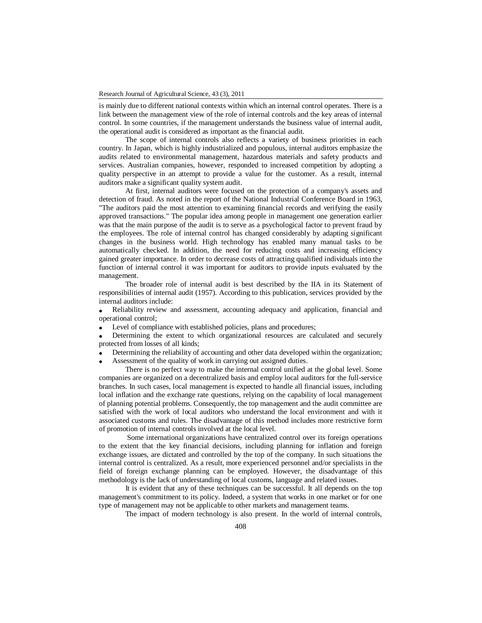is mainly due to different national contexts within which an internal control operates. There is a link between the management view of the role of internal controls and the key areas of internal control. In some countries, if the management understands the business value of internal audit, the operational audit is considered as important as the financial audit.

The scope of internal controls also reflects a variety of business priorities in each country. In Japan, which is highly industrialized and populous, internal auditors emphasize the audits related to environmental management, hazardous materials and safety products and services. Australian companies, however, responded to increased competition by adopting a quality perspective in an attempt to provide a value for the customer. As a result, internal auditors make a significant quality system audit.

At first, internal auditors were focused on the protection of a company's assets and detection of fraud. As noted in the report of the National Industrial Conference Board in 1963, "The auditors paid the most attention to examining financial records and verifying the easily approved transactions." The popular idea among people in management one generation earlier was that the main purpose of the audit is to serve as a psychological factor to prevent fraud by the employees. The role of internal control has changed considerably by adapting significant changes in the business world. High technology has enabled many manual tasks to be automatically checked. In addition, the need for reducing costs and increasing efficiency gained greater importance. In order to decrease costs of attracting qualified individuals into the function of internal control it was important for auditors to provide inputs evaluated by the management.

The broader role of internal audit is best described by the IIA in its Statement of responsibilities of internal audit (1957). According to this publication, services provided by the internal auditors include:

 Reliability review and assessment, accounting adequacy and application, financial and operational control;

Level of compliance with established policies, plans and procedures;

 Determining the extent to which organizational resources are calculated and securely protected from losses of all kinds;

Determining the reliability of accounting and other data developed within the organization;

Assessment of the quality of work in carrying out assigned duties.

There is no perfect way to make the internal control unified at the global level. Some companies are organized on a decentralized basis and employ local auditors for the full-service branches. In such cases, local management is expected to handle all financial issues, including local inflation and the exchange rate questions, relying on the capability of local management of planning potential problems. Consequently, the top management and the audit committee are satisfied with the work of local auditors who understand the local environment and with it associated customs and rules. The disadvantage of this method includes more restrictive form of promotion of internal controls involved at the local level.

Some international organizations have centralized control over its foreign operations to the extent that the key financial decisions, including planning for inflation and foreign exchange issues, are dictated and controlled by the top of the company. In such situations the internal control is centralized. As a result, more experienced personnel and/or specialists in the field of foreign exchange planning can be employed. However, the disadvantage of this methodology is the lack of understanding of local customs, language and related issues.

It is evident that any of these techniques can be successful. It all depends on the top management's commitment to its policy. Indeed, a system that works in one market or for one type of management may not be applicable to other markets and management teams.

The impact of modern technology is also present. In the world of internal controls,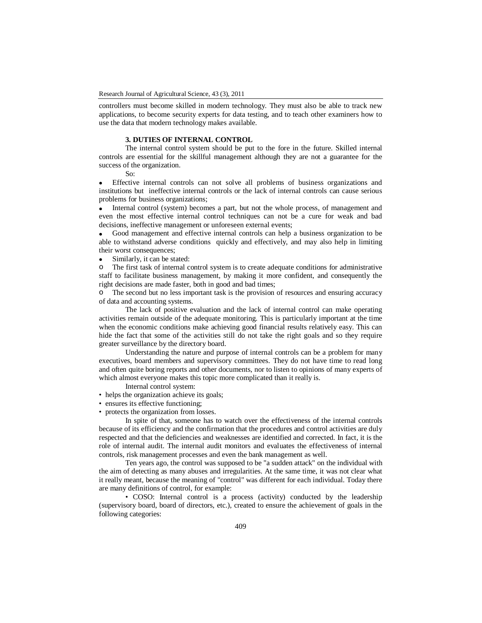controllers must become skilled in modern technology. They must also be able to track new applications, to become security experts for data testing, and to teach other examiners how to use the data that modern technology makes available.

# **3. DUTIES OF INTERNAL CONTROL**

The internal control system should be put to the fore in the future. Skilled internal controls are essential for the skillful management although they are not a guarantee for the success of the organization.

So:

 Effective internal controls can not solve all problems of business organizations and institutions but ineffective internal controls or the lack of internal controls can cause serious problems for business organizations;

• Internal control (system) becomes a part, but not the whole process, of management and even the most effective internal control techniques can not be a cure for weak and bad decisions, ineffective management or unforeseen external events;

 Good management and effective internal controls can help a business organization to be able to withstand adverse conditions quickly and effectively, and may also help in limiting their worst consequences;

• Similarly, it can be stated:<br>  $\circ$  The first task of internal co

The first task of internal control system is to create adequate conditions for administrative staff to facilitate business management, by making it more confident, and consequently the right decisions are made faster, both in good and bad times;

The second but no less important task is the provision of resources and ensuring accuracy of data and accounting systems.

The lack of positive evaluation and the lack of internal control can make operating activities remain outside of the adequate monitoring. This is particularly important at the time when the economic conditions make achieving good financial results relatively easy. This can hide the fact that some of the activities still do not take the right goals and so they require greater surveillance by the directory board.

Understanding the nature and purpose of internal controls can be a problem for many executives, board members and supervisory committees. They do not have time to read long and often quite boring reports and other documents, nor to listen to opinions of many experts of which almost everyone makes this topic more complicated than it really is.

Internal control system:

- helps the organization achieve its goals;
- ensures its effective functioning;
- protects the organization from losses.

In spite of that, someone has to watch over the effectiveness of the internal controls because of its efficiency and the confirmation that the procedures and control activities are duly respected and that the deficiencies and weaknesses are identified and corrected. In fact, it is the role of internal audit. The internal audit monitors and evaluates the effectiveness of internal controls, risk management processes and even the bank management as well.

Ten years ago, the control was supposed to be "a sudden attack" on the individual with the aim of detecting as many abuses and irregularities. At the same time, it was not clear what it really meant, because the meaning of "control" was different for each individual. Today there are many definitions of control, for example:

• COSO: Internal control is a process (activity) conducted by the leadership (supervisory board, board of directors, etc.), created to ensure the achievement of goals in the following categories: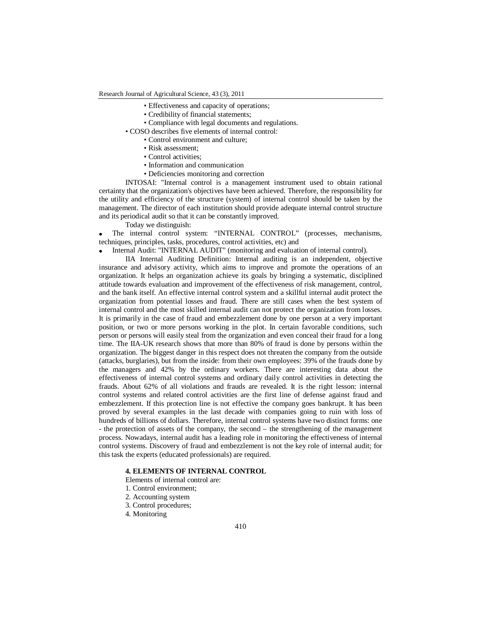Research Journal of Agricultural Science, 43 (3), 2011

- Effectiveness and capacity of operations;
- Credibility of financial statements;
- Compliance with legal documents and regulations.
- COSO describes five elements of internal control:
	- Control environment and culture;
		- Risk assessment;
		- Control activities;
		- Information and communication
		- Deficiencies monitoring and correction

INTOSAI: "Internal control is a management instrument used to obtain rational certainty that the organization's objectives have been achieved. Therefore, the responsibility for the utility and efficiency of the structure (system) of internal control should be taken by the management. The director of each institution should provide adequate internal control structure and its periodical audit so that it can be constantly improved.

Today we distinguish:

 The internal control system: "INTERNAL CONTROL" (processes, mechanisms, techniques, principles, tasks, procedures, control activities, etc) and

Internal Audit: "INTERNAL AUDIT" (monitoring and evaluation of internal control).

IIA Internal Auditing Definition: Internal auditing is an independent, objective insurance and advisory activity, which aims to improve and promote the operations of an organization. It helps an organization achieve its goals by bringing a systematic, disciplined attitude towards evaluation and improvement of the effectiveness of risk management, control, and the bank itself. An effective internal control system and a skillful internal audit protect the organization from potential losses and fraud. There are still cases when the best system of internal control and the most skilled internal audit can not protect the organization from losses. It is primarily in the case of fraud and embezzlement done by one person at a very important position, or two or more persons working in the plot. In certain favorable conditions, such person or persons will easily steal from the organization and even conceal their fraud for a long time. The IIA-UK research shows that more than 80% of fraud is done by persons within the organization. The biggest danger in this respect does not threaten the company from the outside (attacks, burglaries), but from the inside: from their own employees: 39% of the frauds done by the managers and 42% by the ordinary workers. There are interesting data about the effectiveness of internal control systems and ordinary daily control activities in detecting the frauds. About 62% of all violations and frauds are revealed. It is the right lesson: internal control systems and related control activities are the first line of defense against fraud and embezzlement. If this protection line is not effective the company goes bankrupt. It has been proved by several examples in the last decade with companies going to ruin with loss of hundreds of billions of dollars. Therefore, internal control systems have two distinct forms: one - the protection of assets of the company, the second – the strengthening of the management process. Nowadays, internal audit has a leading role in monitoring the effectiveness of internal control systems. Discovery of fraud and embezzlement is not the key role of internal audit; for this task the experts (educated professionals) are required.

## **4. ELEMENTS OF INTERNAL CONTROL**

Elements of internal control are:

- 1. Control environment;
- 2. Accounting system
- 3. Control procedures;
- 4. Monitoring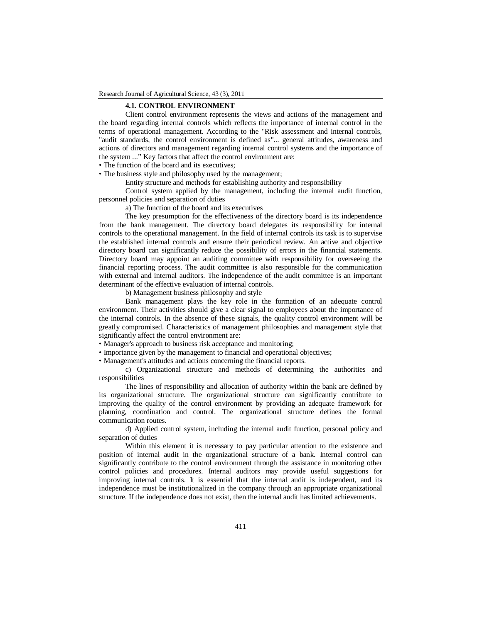## **4.1. CONTROL ENVIRONMENT**

Client control environment represents the views and actions of the management and the board regarding internal controls which reflects the importance of internal control in the terms of operational management. According to the "Risk assessment and internal controls, "audit standards, the control environment is defined as"... general attitudes, awareness and actions of directors and management regarding internal control systems and the importance of the system ..." Key factors that affect the control environment are:

• The function of the board and its executives;

• The business style and philosophy used by the management;

Entity structure and methods for establishing authority and responsibility

Control system applied by the management, including the internal audit function, personnel policies and separation of duties

a) The function of the board and its executives

The key presumption for the effectiveness of the directory board is its independence from the bank management. The directory board delegates its responsibility for internal controls to the operational management. In the field of internal controls its task is to supervise the established internal controls and ensure their periodical review. An active and objective directory board can significantly reduce the possibility of errors in the financial statements. Directory board may appoint an auditing committee with responsibility for overseeing the financial reporting process. The audit committee is also responsible for the communication with external and internal auditors. The independence of the audit committee is an important determinant of the effective evaluation of internal controls.

b) Management business philosophy and style

Bank management plays the key role in the formation of an adequate control environment. Their activities should give a clear signal to employees about the importance of the internal controls. In the absence of these signals, the quality control environment will be greatly compromised. Characteristics of management philosophies and management style that significantly affect the control environment are:

• Manager's approach to business risk acceptance and monitoring;

• Importance given by the management to financial and operational objectives;

• Management's attitudes and actions concerning the financial reports.

c) Organizational structure and methods of determining the authorities and responsibilities

The lines of responsibility and allocation of authority within the bank are defined by its organizational structure. The organizational structure can significantly contribute to improving the quality of the control environment by providing an adequate framework for planning, coordination and control. The organizational structure defines the formal communication routes.

d) Applied control system, including the internal audit function, personal policy and separation of duties

Within this element it is necessary to pay particular attention to the existence and position of internal audit in the organizational structure of a bank. Internal control can significantly contribute to the control environment through the assistance in monitoring other control policies and procedures. Internal auditors may provide useful suggestions for improving internal controls. It is essential that the internal audit is independent, and its independence must be institutionalized in the company through an appropriate organizational structure. If the independence does not exist, then the internal audit has limited achievements.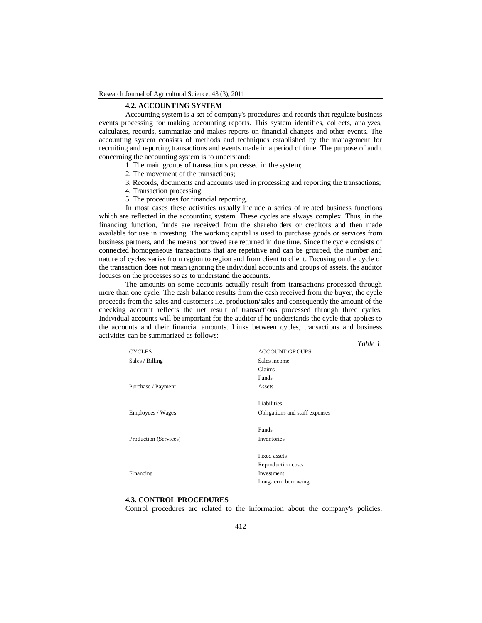#### Research Journal of Agricultural Science, 43 (3), 2011

# **4.2. ACCOUNTING SYSTEM**

Accounting system is a set of company's procedures and records that regulate business events processing for making accounting reports. This system identifies, collects, analyzes, calculates, records, summarize and makes reports on financial changes and other events. The accounting system consists of methods and techniques established by the management for recruiting and reporting transactions and events made in a period of time. The purpose of audit concerning the accounting system is to understand:

- 1. The main groups of transactions processed in the system;
- 2. The movement of the transactions;
- 3. Records, documents and accounts used in processing and reporting the transactions;
- 4. Transaction processing;
- 5. The procedures for financial reporting.

In most cases these activities usually include a series of related business functions which are reflected in the accounting system. These cycles are always complex. Thus, in the financing function, funds are received from the shareholders or creditors and then made available for use in investing. The working capital is used to purchase goods or services from business partners, and the means borrowed are returned in due time. Since the cycle consists of connected homogeneous transactions that are repetitive and can be grouped, the number and nature of cycles varies from region to region and from client to client. Focusing on the cycle of the transaction does not mean ignoring the individual accounts and groups of assets, the auditor focuses on the processes so as to understand the accounts.

The amounts on some accounts actually result from transactions processed through more than one cycle. The cash balance results from the cash received from the buyer, the cycle proceeds from the sales and customers i.e. production/sales and consequently the amount of the checking account reflects the net result of transactions processed through three cycles. Individual accounts will be important for the auditor if he understands the cycle that applies to the accounts and their financial amounts. Links between cycles, transactions and business activities can be summarized as follows:

|                       | Table 1.                       |
|-----------------------|--------------------------------|
| <b>CYCLES</b>         | <b>ACCOUNT GROUPS</b>          |
| Sales / Billing       | Sales income                   |
|                       | Claims                         |
|                       | <b>Funds</b>                   |
| Purchase / Payment    | Assets                         |
|                       | Liabilities                    |
| Employees / Wages     | Obligations and staff expenses |
|                       | Funds                          |
| Production (Services) | Inventories                    |
|                       | Fixed assets                   |
|                       | Reproduction costs             |
| Financing             | Investment                     |
|                       | Long-term borrowing            |

## **4.3. CONTROL PROCEDURES**

Control procedures are related to the information about the company's policies,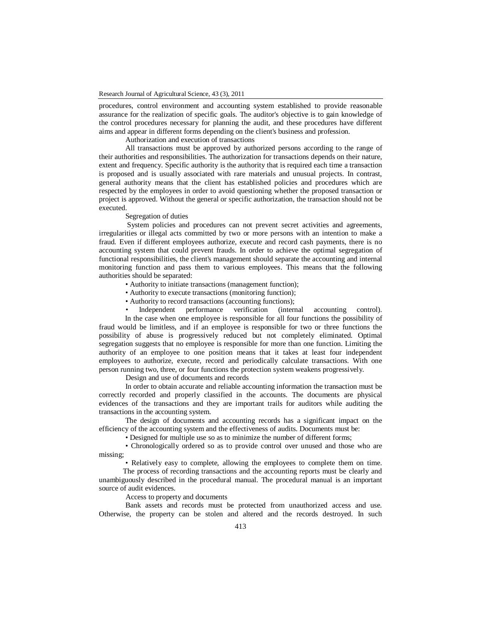procedures, control environment and accounting system established to provide reasonable assurance for the realization of specific goals. The auditor's objective is to gain knowledge of the control procedures necessary for planning the audit, and these procedures have different aims and appear in different forms depending on the client's business and profession.

Authorization and execution of transactions

All transactions must be approved by authorized persons according to the range of their authorities and responsibilities. The authorization for transactions depends on their nature, extent and frequency. Specific authority is the authority that is required each time a transaction is proposed and is usually associated with rare materials and unusual projects. In contrast, general authority means that the client has established policies and procedures which are respected by the employees in order to avoid questioning whether the proposed transaction or project is approved. Without the general or specific authorization, the transaction should not be executed.

# Segregation of duties

System policies and procedures can not prevent secret activities and agreements, irregularities or illegal acts committed by two or more persons with an intention to make a fraud. Even if different employees authorize, execute and record cash payments, there is no accounting system that could prevent frauds. In order to achieve the optimal segregation of functional responsibilities, the client's management should separate the accounting and internal monitoring function and pass them to various employees. This means that the following authorities should be separated:

• Authority to initiate transactions (management function);

• Authority to execute transactions (monitoring function);

• Authority to record transactions (accounting functions);

Independent performance verification (internal accounting control).

 In the case when one employee is responsible for all four functions the possibility of fraud would be limitless, and if an employee is responsible for two or three functions the possibility of abuse is progressively reduced but not completely eliminated. Optimal segregation suggests that no employee is responsible for more than one function. Limiting the authority of an employee to one position means that it takes at least four independent employees to authorize, execute, record and periodically calculate transactions. With one person running two, three, or four functions the protection system weakens progressively.

Design and use of documents and records

In order to obtain accurate and reliable accounting information the transaction must be correctly recorded and properly classified in the accounts. The documents are physical evidences of the transactions and they are important trails for auditors while auditing the transactions in the accounting system.

The design of documents and accounting records has a significant impact on the efficiency of the accounting system and the effectiveness of audits. Documents must be:

• Designed for multiple use so as to minimize the number of different forms;

• Chronologically ordered so as to provide control over unused and those who are missing;

• Relatively easy to complete, allowing the employees to complete them on time.

 The process of recording transactions and the accounting reports must be clearly and unambiguously described in the procedural manual. The procedural manual is an important source of audit evidences.

Access to property and documents

Bank assets and records must be protected from unauthorized access and use. Otherwise, the property can be stolen and altered and the records destroyed. In such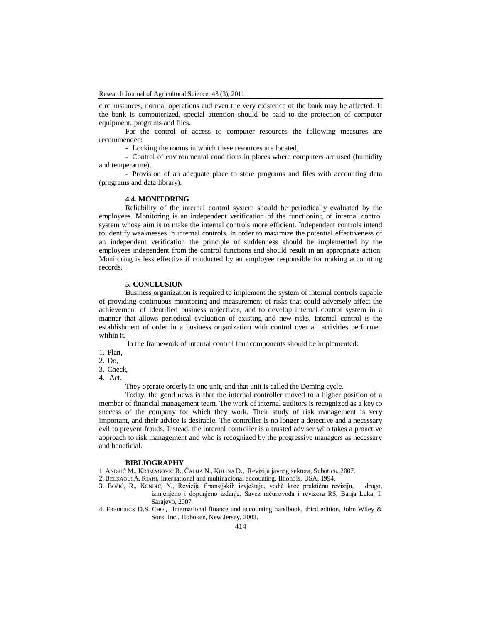circumstances, normal operations and even the very existence of the bank may be affected. If the bank is computerized, special attention should be paid to the protection of computer equipment, programs and files.

For the control of access to computer resources the following measures are recommended:

- Locking the rooms in which these resources are located,

- Control of environmental conditions in places where computers are used (humidity and temperature),

- Provision of an adequate place to store programs and files with accounting data (programs and data library).

### **4.4. MONITORING**

Reliability of the internal control system should be periodically evaluated by the employees. Monitoring is an independent verification of the functioning of internal control system whose aim is to make the internal controls more efficient. Independent controls intend to identify weaknesses in internal controls. In order to maximize the potential effectiveness of an independent verification the principle of suddenness should be implemented by the employees independent from the control functions and should result in an appropriate action. Monitoring is less effective if conducted by an employee responsible for making accounting records.

# **5. CONCLUSION**

Business organization is required to implement the system of internal controls capable of providing continuous monitoring and measurement of risks that could adversely affect the achievement of identified business objectives, and to develop internal control system in a manner that allows periodical evaluation of existing and new risks. Internal control is the establishment of order in a business organization with control over all activities performed within it.

In the framework of internal control four components should be implemented:

1. Plan,

2. Do,

3. Check,

4. Act.

They operate orderly in one unit, and that unit is called the Deming cycle.

Today, the good news is that the internal controller moved to a higher position of a member of financial management team. The work of internal auditors is recognized as a key to success of the company for which they work. Their study of risk management is very important, and their advice is desirable. The controller is no longer a detective and a necessary evil to prevent frauds. Instead, the internal controller is a trusted adviser who takes a proactive approach to risk management and who is recognized by the progressive managers as necessary and beneficial.

### **BIBLIOGRAPHY**

1. ANDRIĆ M., KRSMANOVIĆ B., ČALIJA N., KULINA D., Revizija javnog sektora, Subotica.,2007.

- 2. BELKAOUI A. RIAHI, International and multinacional accounting, Illionois, USA, 1994.
- 3. BOŽIĆ, R., KONDIĆ, N., Revizija finansijskih izvještaja, vodič kroz praktičnu reviziju, drugo, izmjenjeno i dopunjeno izdanje, Savez računovođa i revizora RS, Banja Luka, I. Sarajevo, 2007.
- 4. FREDERICK D.S. CHOI, International finance and accounting handbook, third edition, John Wiley & Sons, Inc., Hoboken, New Jersey, 2003.